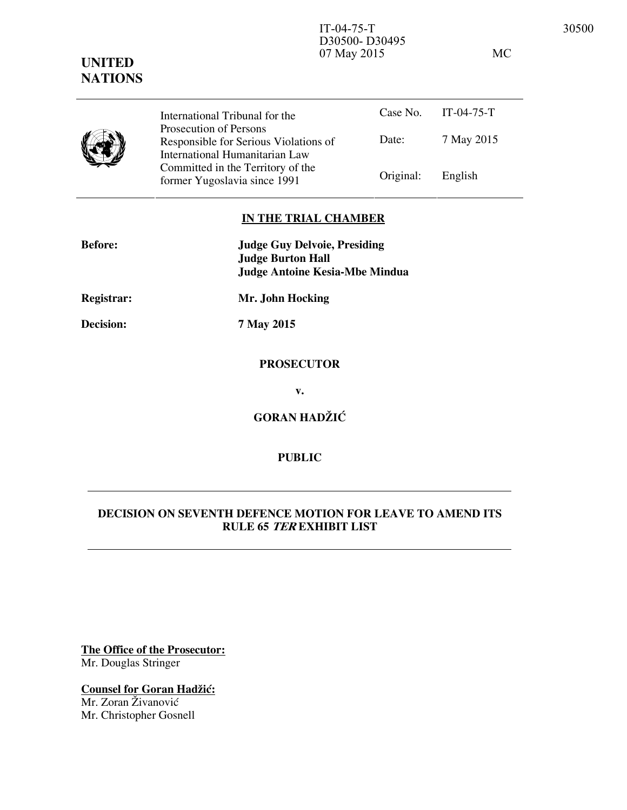07 May 2015 MC

# **UNITED NATIONS** Case No. IT-04-75-T International Tribunal for the



Date: 7 May 2015 Prosecution of Persons Responsible for Serious Violations of International Humanitarian Law Committed in the Territory of the Former Yugoslavia since 1991 Original: English

D30500- D30495

### **IN THE TRIAL CHAMBER**

| <b>Before:</b>    | <b>Judge Guy Delvoie, Presiding</b><br><b>Judge Burton Hall</b><br><b>Judge Antoine Kesia-Mbe Mindua</b> |
|-------------------|----------------------------------------------------------------------------------------------------------|
| <b>Registrar:</b> | Mr. John Hocking                                                                                         |
| <b>Decision:</b>  | 7 May 2015                                                                                               |
|                   | <b>PROSECUTOR</b>                                                                                        |
|                   | v.                                                                                                       |
|                   | <b>GORAN HADŽIĆ</b>                                                                                      |

# **PUBLIC**

# **DECISION ON SEVENTH DEFENCE MOTION FOR LEAVE TO AMEND ITS RULE 65 TER EXHIBIT LIST**

**The Office of the Prosecutor:** Mr. Douglas Stringer

**Counsel for Goran Hadžić:** Mr. Zoran Živanović

Mr. Christopher Gosnell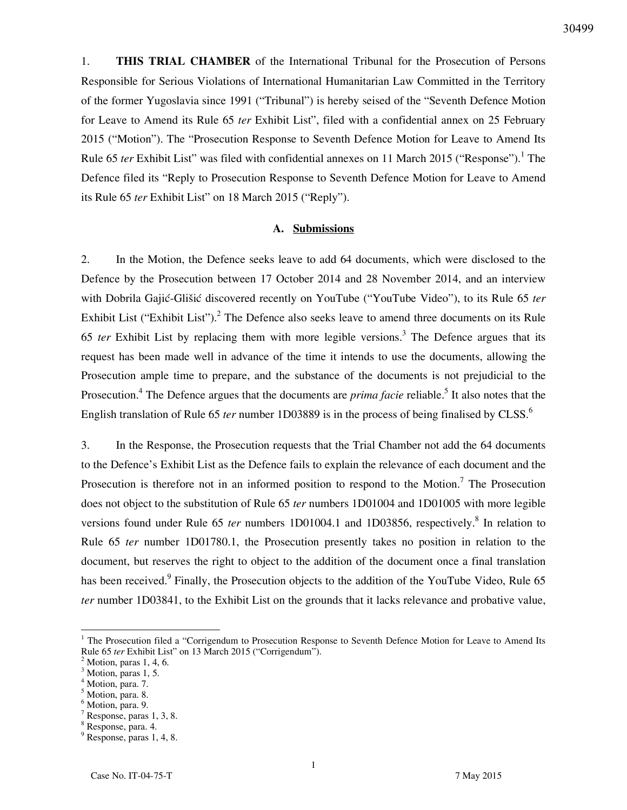1. **THIS TRIAL CHAMBER** of the International Tribunal for the Prosecution of Persons Responsible for Serious Violations of International Humanitarian Law Committed in the Territory of the former Yugoslavia since 1991 ("Tribunal") is hereby seised of the "Seventh Defence Motion for Leave to Amend its Rule 65 *ter* Exhibit List", filed with a confidential annex on 25 February 2015 ("Motion"). The "Prosecution Response to Seventh Defence Motion for Leave to Amend Its Rule 65 *ter* Exhibit List" was filed with confidential annexes on 11 March 2015 ("Response").<sup>1</sup> The Defence filed its "Reply to Prosecution Response to Seventh Defence Motion for Leave to Amend its Rule 65 *ter* Exhibit List" on 18 March 2015 ("Reply").

#### **A. Submissions**

2. In the Motion, the Defence seeks leave to add 64 documents, which were disclosed to the Defence by the Prosecution between 17 October 2014 and 28 November 2014, and an interview with Dobrila Gajić-Glišić discovered recently on YouTube ("YouTube Video"), to its Rule 65 *ter* Exhibit List ("Exhibit List").<sup>2</sup> The Defence also seeks leave to amend three documents on its Rule 65 ter Exhibit List by replacing them with more legible versions.<sup>3</sup> The Defence argues that its request has been made well in advance of the time it intends to use the documents, allowing the Prosecution ample time to prepare, and the substance of the documents is not prejudicial to the Prosecution.<sup>4</sup> The Defence argues that the documents are *prima facie* reliable.<sup>5</sup> It also notes that the English translation of Rule 65 *ter* number 1D03889 is in the process of being finalised by CLSS.<sup>6</sup>

3. In the Response, the Prosecution requests that the Trial Chamber not add the 64 documents to the Defence's Exhibit List as the Defence fails to explain the relevance of each document and the Prosecution is therefore not in an informed position to respond to the Motion.<sup>7</sup> The Prosecution does not object to the substitution of Rule 65 *ter* numbers 1D01004 and 1D01005 with more legible versions found under Rule 65 *ter* numbers 1D01004.1 and 1D03856, respectively.<sup>8</sup> In relation to Rule 65 *ter* number 1D01780.1, the Prosecution presently takes no position in relation to the document, but reserves the right to object to the addition of the document once a final translation has been received.<sup>9</sup> Finally, the Prosecution objects to the addition of the YouTube Video, Rule 65 *ter* number 1D03841, to the Exhibit List on the grounds that it lacks relevance and probative value,

 $\overline{a}$ 

<sup>&</sup>lt;sup>1</sup> The Prosecution filed a "Corrigendum to Prosecution Response to Seventh Defence Motion for Leave to Amend Its Rule 65 *ter* Exhibit List" on 13 March 2015 ("Corrigendum").

<sup>2</sup> Motion, paras 1, 4, 6.

<sup>&</sup>lt;sup>3</sup> Motion, paras 1, 5.

 $\frac{4}{5}$  Motion, para. 7.

Motion, para. 8.

<sup>6</sup> Motion, para. 9.

<sup>7</sup> Response, paras 1, 3, 8.

<sup>8</sup> Response, para. 4.

<sup>9</sup> Response, paras 1, 4, 8.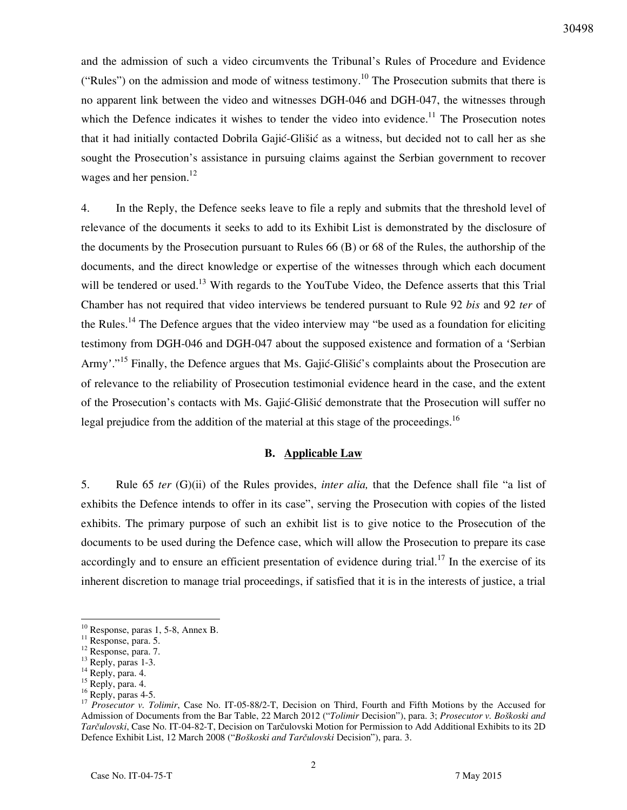and the admission of such a video circumvents the Tribunal's Rules of Procedure and Evidence ("Rules") on the admission and mode of witness testimony.<sup>10</sup> The Prosecution submits that there is no apparent link between the video and witnesses DGH-046 and DGH-047, the witnesses through which the Defence indicates it wishes to tender the video into evidence.<sup>11</sup> The Prosecution notes that it had initially contacted Dobrila Gajić-Glišić as a witness, but decided not to call her as she sought the Prosecution's assistance in pursuing claims against the Serbian government to recover wages and her pension. $^{12}$ 

4. In the Reply, the Defence seeks leave to file a reply and submits that the threshold level of relevance of the documents it seeks to add to its Exhibit List is demonstrated by the disclosure of the documents by the Prosecution pursuant to Rules 66 (B) or 68 of the Rules, the authorship of the documents, and the direct knowledge or expertise of the witnesses through which each document will be tendered or used.<sup>13</sup> With regards to the YouTube Video, the Defence asserts that this Trial Chamber has not required that video interviews be tendered pursuant to Rule 92 *bis* and 92 *ter* of the Rules.<sup>14</sup> The Defence argues that the video interview may "be used as a foundation for eliciting testimony from DGH-046 and DGH-047 about the supposed existence and formation of a 'Serbian Army'."<sup>15</sup> Finally, the Defence argues that Ms. Gajić-Glišić's complaints about the Prosecution are of relevance to the reliability of Prosecution testimonial evidence heard in the case, and the extent of the Prosecution's contacts with Ms. Gajić-Glišić demonstrate that the Prosecution will suffer no legal prejudice from the addition of the material at this stage of the proceedings.<sup>16</sup>

#### **B. Applicable Law**

5. Rule 65 *ter* (G)(ii) of the Rules provides, *inter alia,* that the Defence shall file "a list of exhibits the Defence intends to offer in its case", serving the Prosecution with copies of the listed exhibits. The primary purpose of such an exhibit list is to give notice to the Prosecution of the documents to be used during the Defence case, which will allow the Prosecution to prepare its case accordingly and to ensure an efficient presentation of evidence during trial.<sup>17</sup> In the exercise of its inherent discretion to manage trial proceedings, if satisfied that it is in the interests of justice, a trial

 $\overline{a}$ 

 $10$  Response, paras 1, 5-8, Annex B.

<sup>&</sup>lt;sup>11</sup> Response, para. 5.

<sup>&</sup>lt;sup>12</sup> Response, para. 7.

 $^{13}$  Reply, paras 1-3.

 $14$  Reply, para. 4.

 $15$  Reply, para. 4.

 $^{16}$  Reply, paras 4-5.

<sup>&</sup>lt;sup>17</sup> *Prosecutor v. Tolimir*, Case No. IT-05-88/2-T, Decision on Third, Fourth and Fifth Motions by the Accused for Admission of Documents from the Bar Table, 22 March 2012 ("*Tolimir* Decision"), para. 3; *Prosecutor v. Boškoski and Tarčulovski*, Case No. IT-04-82-T, Decision on Tarčulovski Motion for Permission to Add Additional Exhibits to its 2D Defence Exhibit List, 12 March 2008 ("*Boškoski and Tarčulovski* Decision"), para. 3.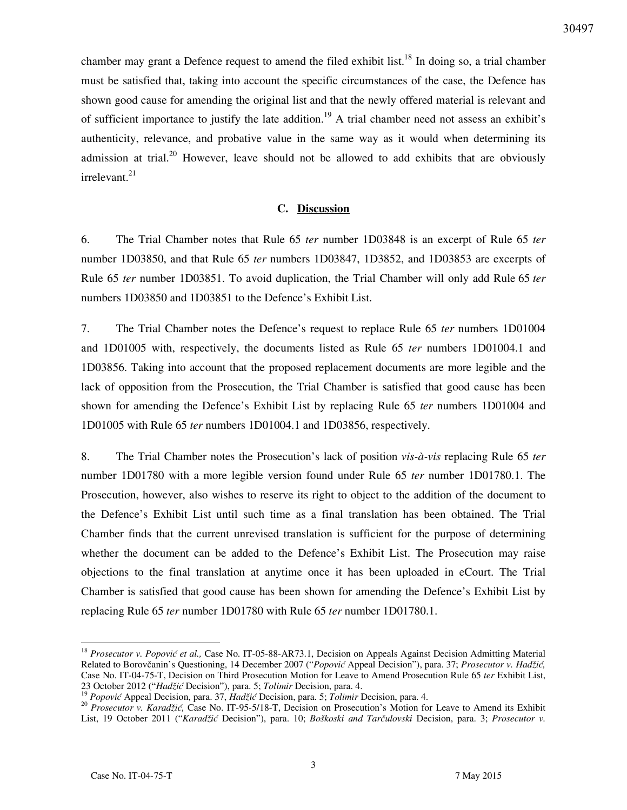chamber may grant a Defence request to amend the filed exhibit list.<sup>18</sup> In doing so, a trial chamber must be satisfied that, taking into account the specific circumstances of the case, the Defence has shown good cause for amending the original list and that the newly offered material is relevant and of sufficient importance to justify the late addition.<sup>19</sup> A trial chamber need not assess an exhibit's authenticity, relevance, and probative value in the same way as it would when determining its admission at trial.<sup>20</sup> However, leave should not be allowed to add exhibits that are obviously irrelevant.<sup>21</sup>

## **C. Discussion**

6. The Trial Chamber notes that Rule 65 *ter* number 1D03848 is an excerpt of Rule 65 *ter*  number 1D03850, and that Rule 65 *ter* numbers 1D03847, 1D3852, and 1D03853 are excerpts of Rule 65 *ter* number 1D03851. To avoid duplication, the Trial Chamber will only add Rule 65 *ter* numbers 1D03850 and 1D03851 to the Defence's Exhibit List.

7. The Trial Chamber notes the Defence's request to replace Rule 65 *ter* numbers 1D01004 and 1D01005 with, respectively, the documents listed as Rule 65 *ter* numbers 1D01004.1 and 1D03856. Taking into account that the proposed replacement documents are more legible and the lack of opposition from the Prosecution, the Trial Chamber is satisfied that good cause has been shown for amending the Defence's Exhibit List by replacing Rule 65 *ter* numbers 1D01004 and 1D01005 with Rule 65 *ter* numbers 1D01004.1 and 1D03856, respectively.

8. The Trial Chamber notes the Prosecution's lack of position *vis-à-vis* replacing Rule 65 *ter* number 1D01780 with a more legible version found under Rule 65 *ter* number 1D01780.1. The Prosecution, however, also wishes to reserve its right to object to the addition of the document to the Defence's Exhibit List until such time as a final translation has been obtained. The Trial Chamber finds that the current unrevised translation is sufficient for the purpose of determining whether the document can be added to the Defence's Exhibit List. The Prosecution may raise objections to the final translation at anytime once it has been uploaded in eCourt. The Trial Chamber is satisfied that good cause has been shown for amending the Defence's Exhibit List by replacing Rule 65 *ter* number 1D01780 with Rule 65 *ter* number 1D01780.1.

 $\overline{a}$ 

<sup>&</sup>lt;sup>18</sup> Prosecutor v. Popović et al., Case No. IT-05-88-AR73.1, Decision on Appeals Against Decision Admitting Material Related to Borovčanin's Questioning, 14 December 2007 ("*Popović* Appeal Decision"), para. 37; *Prosecutor v. Hadži},*  Case No. IT-04-75-T, Decision on Third Prosecution Motion for Leave to Amend Prosecution Rule 65 *ter* Exhibit List, 23 October 2012 ("*Hadžić* Decision"), para. 5; *Tolimir* Decision, para. 4.<br><sup>19</sup> Benevi<sup>2</sup> Associal D

*Popović* Appeal Decision, para. 37, *Hadžić* Decision, para. 5; *Tolimir Decision*, para. 4.

<sup>&</sup>lt;sup>20</sup> *Prosecutor v. Karadžić,* Case No. IT-95-5/18-T, Decision on Prosecution's Motion for Leave to Amend its Exhibit List, 19 October 2011 ("*Karad`ić* Decision"), para. 10; *Boškoski and Tarčulovski* Decision, para. 3; *Prosecutor v.*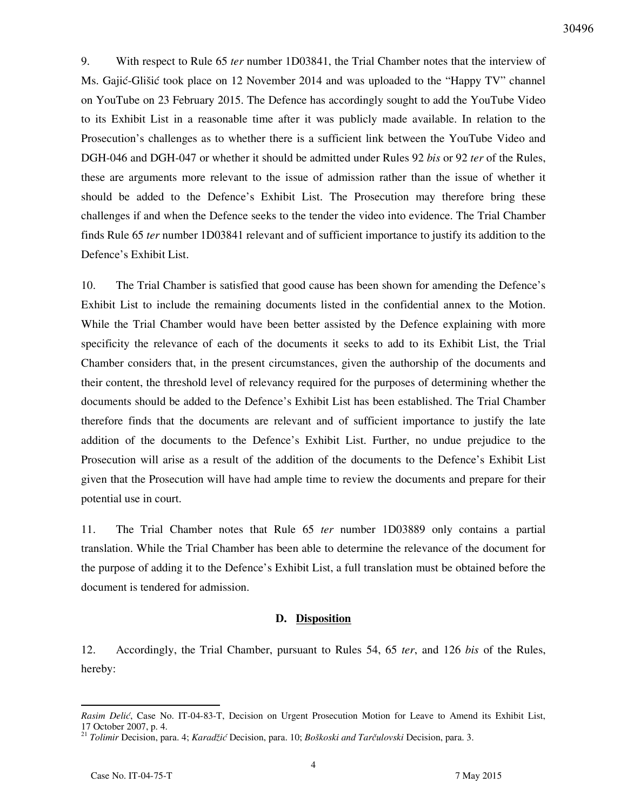9. With respect to Rule 65 *ter* number 1D03841, the Trial Chamber notes that the interview of Ms. Gajić-Glišić took place on 12 November 2014 and was uploaded to the "Happy TV" channel on YouTube on 23 February 2015. The Defence has accordingly sought to add the YouTube Video to its Exhibit List in a reasonable time after it was publicly made available. In relation to the Prosecution's challenges as to whether there is a sufficient link between the YouTube Video and DGH-046 and DGH-047 or whether it should be admitted under Rules 92 *bis* or 92 *ter* of the Rules, these are arguments more relevant to the issue of admission rather than the issue of whether it should be added to the Defence's Exhibit List. The Prosecution may therefore bring these challenges if and when the Defence seeks to the tender the video into evidence. The Trial Chamber finds Rule 65 *ter* number 1D03841 relevant and of sufficient importance to justify its addition to the Defence's Exhibit List.

10. The Trial Chamber is satisfied that good cause has been shown for amending the Defence's Exhibit List to include the remaining documents listed in the confidential annex to the Motion. While the Trial Chamber would have been better assisted by the Defence explaining with more specificity the relevance of each of the documents it seeks to add to its Exhibit List, the Trial Chamber considers that, in the present circumstances, given the authorship of the documents and their content, the threshold level of relevancy required for the purposes of determining whether the documents should be added to the Defence's Exhibit List has been established. The Trial Chamber therefore finds that the documents are relevant and of sufficient importance to justify the late addition of the documents to the Defence's Exhibit List. Further, no undue prejudice to the Prosecution will arise as a result of the addition of the documents to the Defence's Exhibit List given that the Prosecution will have had ample time to review the documents and prepare for their potential use in court.

11. The Trial Chamber notes that Rule 65 *ter* number 1D03889 only contains a partial translation. While the Trial Chamber has been able to determine the relevance of the document for the purpose of adding it to the Defence's Exhibit List, a full translation must be obtained before the document is tendered for admission.

#### **D. Disposition**

12. Accordingly, the Trial Chamber, pursuant to Rules 54, 65 *ter*, and 126 *bis* of the Rules, hereby:

*Rasim Delić*, Case No. IT-04-83-T, Decision on Urgent Prosecution Motion for Leave to Amend its Exhibit List, 17 October 2007, p. 4.

<sup>&</sup>lt;sup>21</sup> *Tolimir Decision, para. 4; Karadžić Decision, para. 10; Boškoski and Tarčulovski Decision, para. 3.*